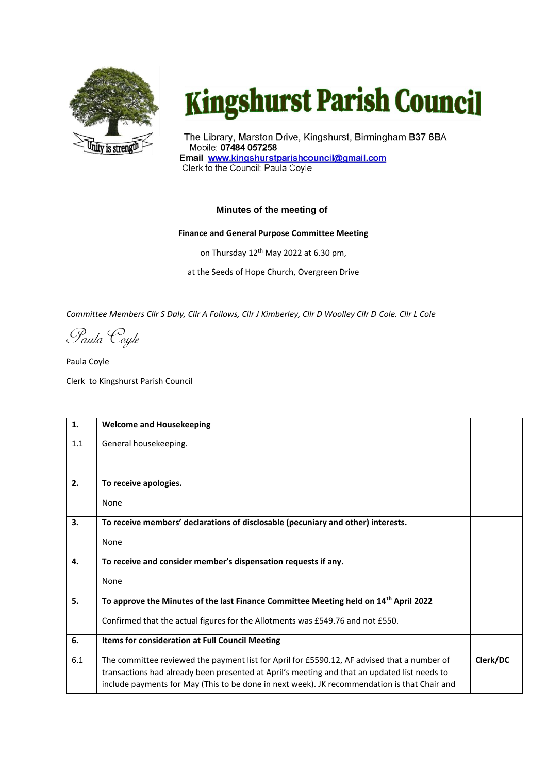

## **Kingshurst Parish Council**

The Library, Marston Drive, Kingshurst, Birmingham B37 6BA Mobile: 07484 057258 Email www.kingshurstparishcouncil@gmail.com Clerk to the Council: Paula Coyle

## **Minutes of the meeting of**

## **Finance and General Purpose Committee Meeting**

on Thursday 12<sup>th</sup> May 2022 at 6.30 pm,

at the Seeds of Hope Church, Overgreen Drive

*Committee Members Cllr S Daly, Cllr A Follows, Cllr J Kimberley, Cllr D Woolley Cllr D Cole. Cllr L Cole*

Paula Coyle

Paula Coyle Clerk to Kingshurst Parish Council

| 1.  | <b>Welcome and Housekeeping</b>                                                                                                                                                                                                                                                             |          |
|-----|---------------------------------------------------------------------------------------------------------------------------------------------------------------------------------------------------------------------------------------------------------------------------------------------|----------|
| 1.1 | General housekeeping.                                                                                                                                                                                                                                                                       |          |
|     |                                                                                                                                                                                                                                                                                             |          |
| 2.  |                                                                                                                                                                                                                                                                                             |          |
|     | To receive apologies.                                                                                                                                                                                                                                                                       |          |
|     | None                                                                                                                                                                                                                                                                                        |          |
| 3.  | To receive members' declarations of disclosable (pecuniary and other) interests.                                                                                                                                                                                                            |          |
|     | None                                                                                                                                                                                                                                                                                        |          |
| 4.  | To receive and consider member's dispensation requests if any.                                                                                                                                                                                                                              |          |
|     | None                                                                                                                                                                                                                                                                                        |          |
| 5.  | To approve the Minutes of the last Finance Committee Meeting held on 14 <sup>th</sup> April 2022                                                                                                                                                                                            |          |
|     | Confirmed that the actual figures for the Allotments was £549.76 and not £550.                                                                                                                                                                                                              |          |
| 6.  | Items for consideration at Full Council Meeting                                                                                                                                                                                                                                             |          |
| 6.1 | The committee reviewed the payment list for April for £5590.12, AF advised that a number of<br>transactions had already been presented at April's meeting and that an updated list needs to<br>include payments for May (This to be done in next week). JK recommendation is that Chair and | Clerk/DC |